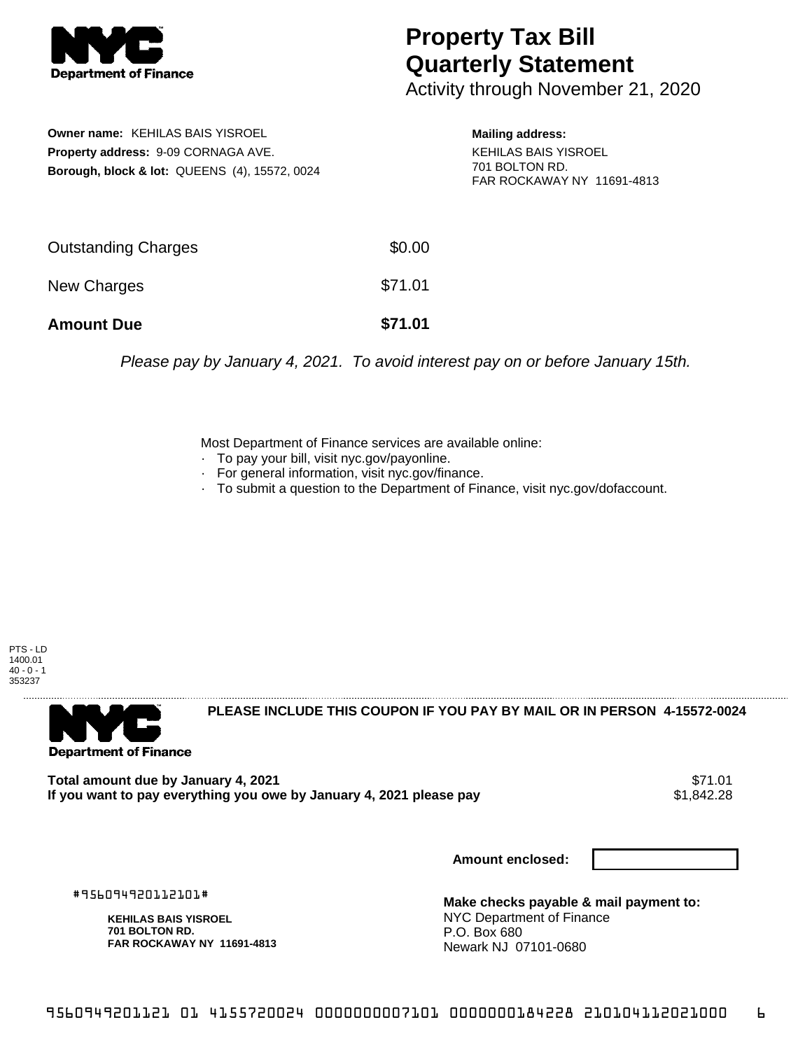

## **Property Tax Bill Quarterly Statement**

Activity through November 21, 2020

**Owner name:** KEHILAS BAIS YISROEL **Property address:** 9-09 CORNAGA AVE. **Borough, block & lot:** QUEENS (4), 15572, 0024

**Mailing address:** KEHILAS BAIS YISROEL

701 BOLTON RD. FAR ROCKAWAY NY 11691-4813

| <b>Amount Due</b>          | \$71.01 |
|----------------------------|---------|
| New Charges                | \$71.01 |
| <b>Outstanding Charges</b> | \$0.00  |

Please pay by January 4, 2021. To avoid interest pay on or before January 15th.

Most Department of Finance services are available online:

- · To pay your bill, visit nyc.gov/payonline.
- For general information, visit nyc.gov/finance.
- · To submit a question to the Department of Finance, visit nyc.gov/dofaccount.





**PLEASE INCLUDE THIS COUPON IF YOU PAY BY MAIL OR IN PERSON 4-15572-0024** 

**Total amount due by January 4, 2021** \$71.01 If you want to pay everything you owe by January 4, 2021 please pay

**Amount enclosed:**

#956094920112101#

**KEHILAS BAIS YISROEL 701 BOLTON RD. FAR ROCKAWAY NY 11691-4813**

**Make checks payable & mail payment to:** NYC Department of Finance P.O. Box 680 Newark NJ 07101-0680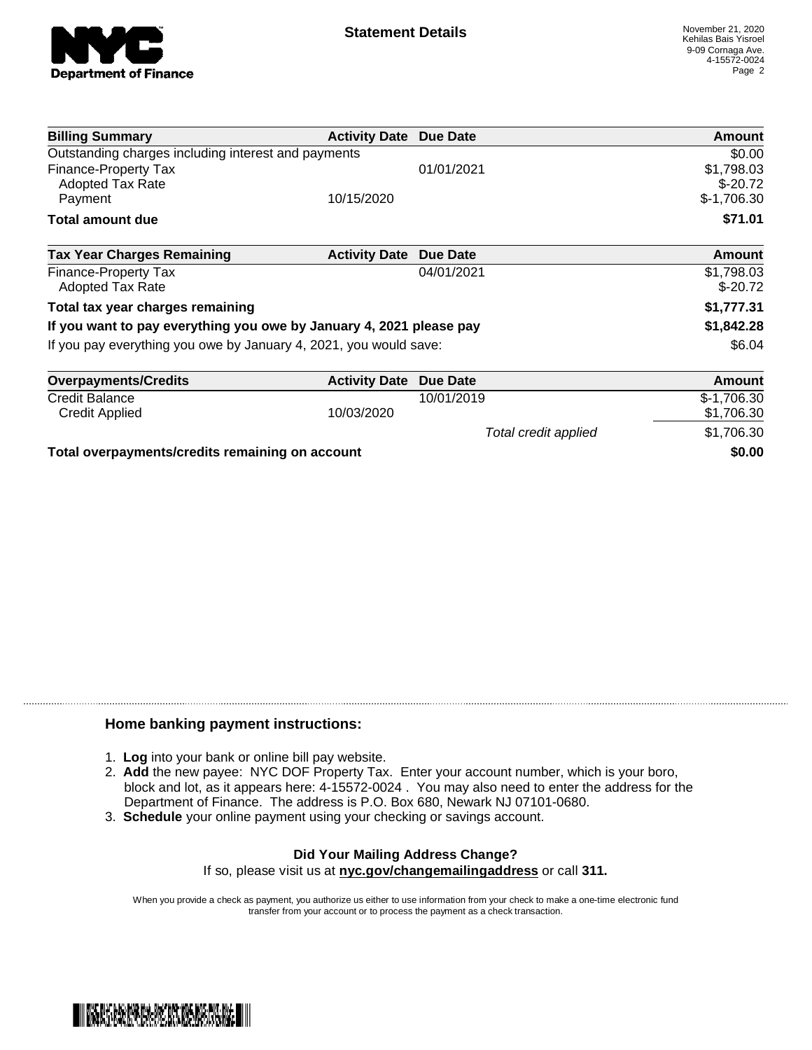

| <b>Billing Summary</b>                                              | <b>Activity Date Due Date</b> |                      | Amount                  |
|---------------------------------------------------------------------|-------------------------------|----------------------|-------------------------|
| Outstanding charges including interest and payments                 |                               |                      | \$0.00                  |
| Finance-Property Tax<br>Adopted Tax Rate                            |                               | 01/01/2021           | \$1,798.03<br>$$-20.72$ |
| Payment                                                             | 10/15/2020                    |                      | $$-1,706.30$            |
| <b>Total amount due</b>                                             |                               |                      | \$71.01                 |
| <b>Tax Year Charges Remaining</b>                                   | <b>Activity Date</b>          | Due Date             | <b>Amount</b>           |
| Finance-Property Tax<br><b>Adopted Tax Rate</b>                     |                               | 04/01/2021           | \$1,798.03<br>$$-20.72$ |
| Total tax year charges remaining                                    |                               |                      | \$1,777.31              |
| If you want to pay everything you owe by January 4, 2021 please pay |                               |                      | \$1,842.28              |
| If you pay everything you owe by January 4, 2021, you would save:   |                               |                      | \$6.04                  |
| <b>Overpayments/Credits</b>                                         | <b>Activity Date</b>          | Due Date             | Amount                  |
| Credit Balance                                                      |                               | 10/01/2019           | $$-1,706.30$            |
| Credit Applied                                                      | 10/03/2020                    |                      | \$1,706.30              |
|                                                                     |                               | Total credit applied | \$1,706.30              |
| Total overpayments/credits remaining on account                     |                               |                      | \$0.00                  |

## **Home banking payment instructions:**

- 1. **Log** into your bank or online bill pay website.
- 2. **Add** the new payee: NYC DOF Property Tax. Enter your account number, which is your boro, block and lot, as it appears here: 4-15572-0024 . You may also need to enter the address for the Department of Finance. The address is P.O. Box 680, Newark NJ 07101-0680.
- 3. **Schedule** your online payment using your checking or savings account.

## **Did Your Mailing Address Change?** If so, please visit us at **nyc.gov/changemailingaddress** or call **311.**

When you provide a check as payment, you authorize us either to use information from your check to make a one-time electronic fund transfer from your account or to process the payment as a check transaction.